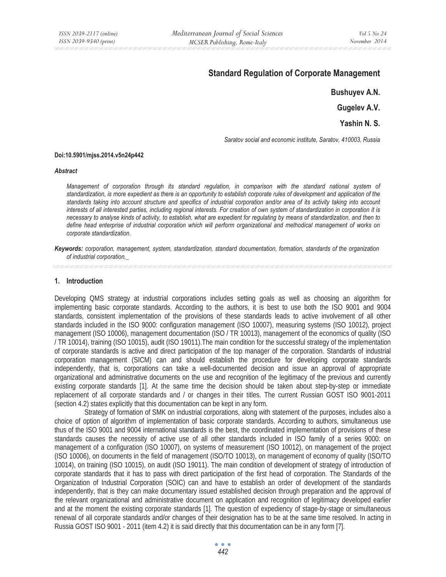# **Standard Regulation of Corporate Management**

```
Bushuyev A.N.
```

```
Gugelev A.V.
```
**Yashin N. S.** 

*Saratov social and economic institute, Saratov, 410003, Russia* 

#### **Doi:10.5901/mjss.2014.v5n24p442**

#### *Abstract*

*Management of corporation through its standard regulation, in comparison with the standard national system of standardization, is more expedient as there is an opportunity to establish corporate rules of development and application of the standards taking into account structure and specifics of industrial corporation and/or area of its activity taking into account interests of all interested parties, including regional interests. For creation of own system of standardization in corporation it is necessary to analyse kinds of activity, to establish, what are expedient for regulating by means of standardization, and then to define head enterprise of industrial corporation which will perform organizational and methodical management of works on corporate standardization.* 

*Keywords: corporation, management, system, standardization, standard documentation, formation, standards of the organization of industrial corporation.\_* 

#### **1. Introduction**

Developing QMS strategy at industrial corporations includes setting goals as well as choosing an algorithm for implementing basic corporate standards. According to the authors, it is best to use both the ISO 9001 and 9004 standards, consistent implementation of the provisions of these standards leads to active involvement of all other standards included in the ISO 9000: configuration management (ISO 10007), measuring systems (ISO 10012), project management (ISO 10006), management documentation (ISO / TR 10013), management of the economics of quality (ISO / TR 10014), training (ISO 10015), audit (ISO 19011).The main condition for the successful strategy of the implementation of corporate standards is active and direct participation of the top manager of the corporation. Standards of industrial corporation management (SICM) can and should establish the procedure for developing corporate standards independently, that is, corporations can take a well-documented decision and issue an approval of appropriate organizational and administrative documents on the use and recognition of the legitimacy of the previous and currently existing corporate standards [1]. At the same time the decision should be taken about step-by-step or immediate replacement of all corporate standards and / or changes in their titles. The current Russian GOST ISO 9001-2011 (section 4.2) states explicitly that this documentation can be kept in any form.

 Strategy of formation of SMK on industrial corporations, along with statement of the purposes, includes also a choice of option of algorithm of implementation of basic corporate standards. According to authors, simultaneous use thus of the ISO 9001 and 9004 international standards is the best, the coordinated implementation of provisions of these standards causes the necessity of active use of all other standards included in ISO family of a series 9000: on management of a configuration (ISO 10007), on systems of measurement (ISO 10012), on management of the project (ISO 10006), on documents in the field of management (ISO/TO 10013), on management of economy of quality (ISO/TO 10014), on training (ISO 10015), on audit (ISO 19011). The main condition of development of strategy of introduction of corporate standards that it has to pass with direct participation of the first head of corporation. The Standards of the Organization of Industrial Corporation (SOIC) can and have to establish an order of development of the standards independently, that is they can make documentary issued established decision through preparation and the approval of the relevant organizational and administrative document on application and recognition of legitimacy developed earlier and at the moment the existing corporate standards [1]. The question of expediency of stage-by-stage or simultaneous renewal of all corporate standards and/or changes of their designation has to be at the same time resolved. In acting in Russia GOST ISO 9001 - 2011 (item 4.2) it is said directly that this documentation can be in any form [7].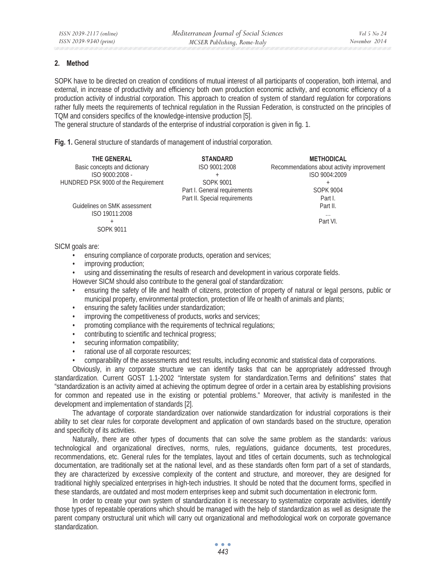### **2. Method**

SOPK have to be directed on creation of conditions of mutual interest of all participants of cooperation, both internal, and external, in increase of productivity and efficiency both own production economic activity, and economic efficiency of a production activity of industrial corporation. This approach to creation of system of standard regulation for corporations rather fully meets the requirements of technical regulation in the Russian Federation, is constructed on the principles of TQM and considers specifics of the knowledge-intensive production [5].

The general structure of standards of the enterprise of industrial corporation is given in fig. 1.

**Fig. 1.** General structure of standards of management of industrial corporation.

| THE GENERAL                         | <b>STANDARD</b>               | <b>METHODICAL</b>                          |
|-------------------------------------|-------------------------------|--------------------------------------------|
| Basic concepts and dictionary       | ISO 9001:2008                 | Recommendations about activity improvement |
| ISO 9000:2008 -                     |                               | ISO 9004:2009                              |
| HUNDRED PSK 9000 of the Requirement | <b>SOPK 9001</b>              |                                            |
|                                     | Part I. General requirements  | <b>SOPK 9004</b>                           |
|                                     | Part II. Special requirements | Part I.                                    |
| Guidelines on SMK assessment        |                               | Part II.                                   |
| ISO 19011:2008                      |                               | $\cdots$                                   |
|                                     |                               | Part VI.                                   |
| SOPK 9011                           |                               |                                            |

SICM goals are:

- ensuring compliance of corporate products, operation and services;
- improving production;
- using and disseminating the results of research and development in various corporate fields.

However SICM should also contribute to the general goal of standardization:

- ensuring the safety of life and health of citizens, protection of property of natural or legal persons, public or municipal property, environmental protection, protection of life or health of animals and plants;
- ensuring the safety facilities under standardization;
- improving the competitiveness of products, works and services;
- promoting compliance with the requirements of technical regulations;
- contributing to scientific and technical progress;
- securing information compatibility;
- rational use of all corporate resources;
- comparability of the assessments and test results, including economic and statistical data of corporations.

Obviously, in any corporate structure we can identify tasks that can be appropriately addressed through standardization. Current GOST 1.1-2002 "Interstate system for standardization.Terms and definitions" states that "standardization is an activity aimed at achieving the optimum degree of order in a certain area by establishing provisions for common and repeated use in the existing or potential problems." Moreover, that activity is manifested in the development and implementation of standards [2].

The advantage of corporate standardization over nationwide standardization for industrial corporations is their ability to set clear rules for corporate development and application of own standards based on the structure, operation and specificity of its activities.

Naturally, there are other types of documents that can solve the same problem as the standards: various technological and organizational directives, norms, rules, regulations, guidance documents, test procedures, recommendations, etc. General rules for the templates, layout and titles of certain documents, such as technological documentation, are traditionally set at the national level, and as these standards often form part of a set of standards, they are characterized by excessive complexity of the content and structure, and moreover, they are designed for traditional highly specialized enterprises in high-tech industries. It should be noted that the document forms, specified in these standards, are outdated and most modern enterprises keep and submit such documentation in electronic form.

In order to create your own system of standardization it is necessary to systematize corporate activities, identify those types of repeatable operations which should be managed with the help of standardization as well as designate the parent company orstructural unit which will carry out organizational and methodological work on corporate governance standardization.

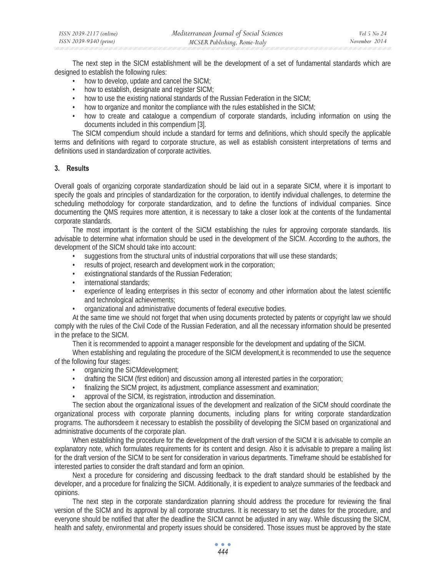| ISSN 2039-2117 (online) | Mediterranean Journal of Social Sciences | Vol 5 No 24   |
|-------------------------|------------------------------------------|---------------|
| ISSN 2039-9340 (print)  | MCSER Publishing, Rome-Italy             | November 2014 |

The next step in the SICM establishment will be the development of a set of fundamental standards which are designed to establish the following rules:

- how to develop, update and cancel the SICM;
- how to establish, designate and register SICM;
- how to use the existing national standards of the Russian Federation in the SICM;
- how to organize and monitor the compliance with the rules established in the SICM;
- how to create and catalogue a compendium of corporate standards, including information on using the documents included in this compendium [3].

The SICM compendium should include a standard for terms and definitions, which should specify the applicable terms and definitions with regard to corporate structure, as well as establish consistent interpretations of terms and definitions used in standardization of corporate activities.

## **3. Results**

Overall goals of organizing corporate standardization should be laid out in a separate SICM, where it is important to specify the goals and principles of standardization for the corporation, to identify individual challenges, to determine the scheduling methodology for corporate standardization, and to define the functions of individual companies. Since documenting the QMS requires more attention, it is necessary to take a closer look at the contents of the fundamental corporate standards.

The most important is the content of the SICM establishing the rules for approving corporate standards. Itis advisable to determine what information should be used in the development of the SICM. According to the authors, the development of the SICM should take into account:

- suggestions from the structural units of industrial corporations that will use these standards;
- results of project, research and development work in the corporation;
- existingnational standards of the Russian Federation;
- international standards;
- experience of leading enterprises in this sector of economy and other information about the latest scientific and technological achievements;
- organizational and administrative documents of federal executive bodies.

At the same time we should not forget that when using documents protected by patents or copyright law we should comply with the rules of the Civil Code of the Russian Federation, and all the necessary information should be presented in the preface to the SICM.

Then it is recommended to appoint a manager responsible for the development and updating of the SICM.

When establishing and regulating the procedure of the SICM development, it is recommended to use the sequence of the following four stages:

- organizing the SICMdevelopment;
- drafting the SICM (first edition) and discussion among all interested parties in the corporation;
- finalizing the SICM project, its adjustment, compliance assessment and examination;
- approval of the SICM, its registration, introduction and dissemination.

The section about the organizational issues of the development and realization of the SICM should coordinate the organizational process with corporate planning documents, including plans for writing corporate standardization programs. The authorsdeem it necessary to establish the possibility of developing the SICM based on organizational and administrative documents of the corporate plan.

When establishing the procedure for the development of the draft version of the SICM it is advisable to compile an explanatory note, which formulates requirements for its content and design. Also it is advisable to prepare a mailing list for the draft version of the SICM to be sent for consideration in various departments. Timeframe should be established for interested parties to consider the draft standard and form an opinion.

Next a procedure for considering and discussing feedback to the draft standard should be established by the developer, and a procedure for finalizing the SICM. Additionally, it is expedient to analyze summaries of the feedback and opinions.

The next step in the corporate standardization planning should address the procedure for reviewing the final version of the SICM and its approval by all corporate structures. It is necessary to set the dates for the procedure, and everyone should be notified that after the deadline the SICM cannot be adjusted in any way. While discussing the SICM, health and safety, environmental and property issues should be considered. Those issues must be approved by the state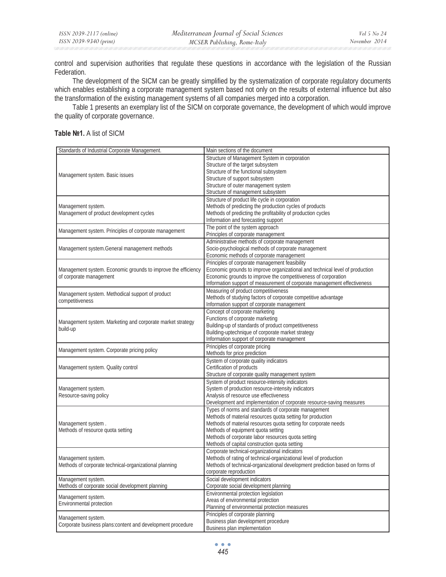control and supervision authorities that regulate these questions in accordance with the legislation of the Russian Federation.

The development of the SICM can be greatly simplified by the systematization of corporate regulatory documents which enables establishing a corporate management system based not only on the results of external influence but also the transformation of the existing management systems of all companies merged into a corporation.

Table 1 presents an exemplary list of the SICM on corporate governance, the development of which would improve the quality of corporate governance.

# **Table ʌ1.** A list of SICM

| Standards of Industrial Corporate Management.                 | Main sections of the document                                                |
|---------------------------------------------------------------|------------------------------------------------------------------------------|
|                                                               | Structure of Management System in corporation                                |
|                                                               | Structure of the target subsystem                                            |
| Management system. Basic issues                               | Structure of the functional subsystem                                        |
|                                                               | Structure of support subsystem                                               |
|                                                               | Structure of outer management system                                         |
|                                                               | Structure of management subsystem                                            |
|                                                               | Structure of product life cycle in corporation                               |
| Management system.                                            | Methods of predicting the production cycles of products                      |
| Management of product development cycles                      | Methods of predicting the profitability of production cycles                 |
|                                                               | Information and forecasting support                                          |
|                                                               | The point of the system approach                                             |
| Management system. Principles of corporate management         | Principles of corporate management                                           |
|                                                               | Administrative methods of corporate management                               |
| Management system. General management methods                 | Socio-psychological methods of corporate management                          |
|                                                               | Economic methods of corporate management                                     |
|                                                               | Principles of corporate management feasibility                               |
| Management system. Economic grounds to improve the efficiency | Economic grounds to improve organizational and technical level of production |
| of corporate management                                       | Economic grounds to improve the competitiveness of corporation               |
|                                                               | Information support of measurement of corporate management effectiveness     |
|                                                               | Measuring of product competitiveness                                         |
| Management system. Methodical support of product              | Methods of studying factors of corporate competitive advantage               |
| competitiveness                                               | Information support of corporate management                                  |
|                                                               |                                                                              |
|                                                               | Concept of corporate marketing                                               |
| Management system. Marketing and corporate market strategy    | Functions of corporate marketing                                             |
| build-up                                                      | Building-up of standards of product competitiveness                          |
|                                                               | Building-uptechnique of corporate market strategy                            |
|                                                               | Information support of corporate management                                  |
| Management system. Corporate pricing policy                   | Principles of corporate pricing                                              |
|                                                               | Methods for price prediction                                                 |
|                                                               | System of corporate quality indicators                                       |
| Management system. Quality control                            | Certification of products                                                    |
|                                                               | Structure of corporate quality management system                             |
|                                                               | System of product resource-intensity indicators                              |
| Management system.                                            | System of production resource-intensity indicators                           |
| Resource-saving policy                                        | Analysis of resource use effectiveness                                       |
|                                                               | Development and implementation of corporate resource-saving measures         |
|                                                               | Types of norms and standards of corporate management                         |
|                                                               | Methods of material resources quota setting for production                   |
| Management system.                                            | Methods of material resources quota setting for corporate needs              |
| Methods of resource quota setting                             | Methods of equipment quota setting                                           |
|                                                               | Methods of corporate labor resources quota setting                           |
|                                                               | Methods of capital construction quota setting                                |
|                                                               | Corporate technical-organizational indicators                                |
| Management system.                                            | Methods of rating of technical-organizational level of production            |
| Methods of corporate technical-organizational planning        | Methods of technical-organizational development prediction based on forms of |
|                                                               | corporate reproduction                                                       |
| Management system.                                            | Social development indicators                                                |
| Methods of corporate social development planning              | Corporate social development planning                                        |
|                                                               | Environmental protection legislation                                         |
| Management system.                                            | Areas of environmental protection                                            |
| Environmental protection                                      | Planning of environmental protection measures                                |
|                                                               | Principles of corporate planning                                             |
| Management system.                                            | Business plan development procedure                                          |
| Corporate business plans:content and development procedure    | Business plan implementation                                                 |
|                                                               |                                                                              |

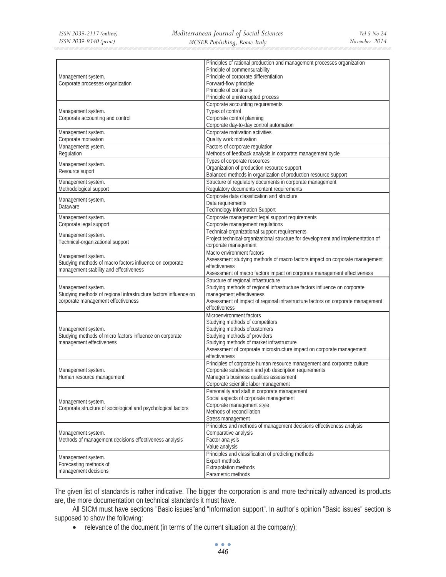|                                                                  | Principles of rational production and management processes organization          |
|------------------------------------------------------------------|----------------------------------------------------------------------------------|
|                                                                  | Principle of commensurability                                                    |
| Management system.                                               | Principle of corporate differentiation                                           |
| Corporate processes organization                                 | Forward-flow principle                                                           |
|                                                                  | Principle of continuity                                                          |
|                                                                  | Principle of uninterrupted process                                               |
|                                                                  |                                                                                  |
|                                                                  | Corporate accounting requirements                                                |
| Management system.                                               | Types of control                                                                 |
| Corporate accounting and control                                 | Corporate control planning                                                       |
|                                                                  | Corporate day-to-day control automation                                          |
| Management system.                                               | Corporate motivation activities                                                  |
| Corporate motivation                                             | Quality work motivation                                                          |
| Managements ystem.                                               | Factors of corporate regulation                                                  |
| Regulation                                                       | Methods of feedback analysis in corporate management cycle                       |
|                                                                  | Types of corporate resources                                                     |
| Management system.                                               | Organization of production resource support                                      |
| Resource suport                                                  | Balanced methods in organization of production resource support                  |
| Management system.                                               | Structure of regulatory documents in corporate management                        |
| Methodological support                                           | Regulatory documents content requirements                                        |
|                                                                  | Corporate data classification and structure                                      |
| Management system.                                               |                                                                                  |
| Dataware                                                         | Data requirements                                                                |
|                                                                  | <b>Technology Information Support</b>                                            |
| Management system.                                               | Corporate management legal support requirements                                  |
| Corporate legal support                                          | Corporate management regulations                                                 |
| Management system.                                               | Technical-organizational support requirements                                    |
| Technical-organizational support                                 | Project technical-organizational structure for development and implementation of |
|                                                                  | corporate management                                                             |
|                                                                  | Macro environment factors                                                        |
| Management system.                                               | Assessment studying methods of macro factors impact on corporate management      |
| Studying methods of macro factors influence on corporate         | effectiveness                                                                    |
| management stability and effectiveness                           | Assessment of macro factors impact on corporate management effectiveness         |
|                                                                  | Structure of regional infrastructure                                             |
| Management system.                                               | Studying methods of regional infrastructure factors influence on corporate       |
| Studying methods of regional infrastructure factors influence on | management effectiveness                                                         |
| corporate management effectiveness                               | Assessment of impact of regional infrastructure factors on corporate management  |
|                                                                  | effectiveness                                                                    |
|                                                                  | Microenvironment factors                                                         |
|                                                                  | Studying methods of competitors                                                  |
| Management system.                                               | Studying methods ofcustomers                                                     |
| Studying methods of micro factors influence on corporate         | Studying methods of providers                                                    |
| management effectiveness                                         | Studying methods of market infrastructure                                        |
|                                                                  | Assessment of corporate microstructure impact on corporate management            |
|                                                                  | effectiveness                                                                    |
|                                                                  |                                                                                  |
|                                                                  | Principles of corporate human resource management and corporate culture          |
| Management system.                                               | Corporate subdivision and job description requirements                           |
| Human resource management                                        | Manager's business qualities assessment                                          |
|                                                                  | Corporate scientific labor management                                            |
|                                                                  | Personality and staff in corporate management                                    |
| Management system.                                               | Social aspects of corporate management                                           |
| Corporate structure of sociological and psychological factors    | Corporate management style                                                       |
|                                                                  | Methods of reconciliation                                                        |
|                                                                  | Stress management                                                                |
|                                                                  | Principles and methods of management decisions effectiveness analysis            |
| Management system.                                               | Comparative analysis                                                             |
| Methods of management decisions effectiveness analysis           | Factor analysis                                                                  |
|                                                                  | Value analysis                                                                   |
|                                                                  | Principles and classification of predicting methods                              |
| Management system.                                               | Expert methods                                                                   |
| Forecasting methods of                                           | Extrapolation methods                                                            |
| management decisions                                             | Parametric methods                                                               |
|                                                                  |                                                                                  |

The given list of standards is rather indicative. The bigger the corporation is and more technically advanced its products are, the more documentation on technical standards it must have.

All SICM must have sections "Basic issues"and "Information support". In author's opinion "Basic issues" section is supposed to show the following:

• relevance of the document (in terms of the current situation at the company);